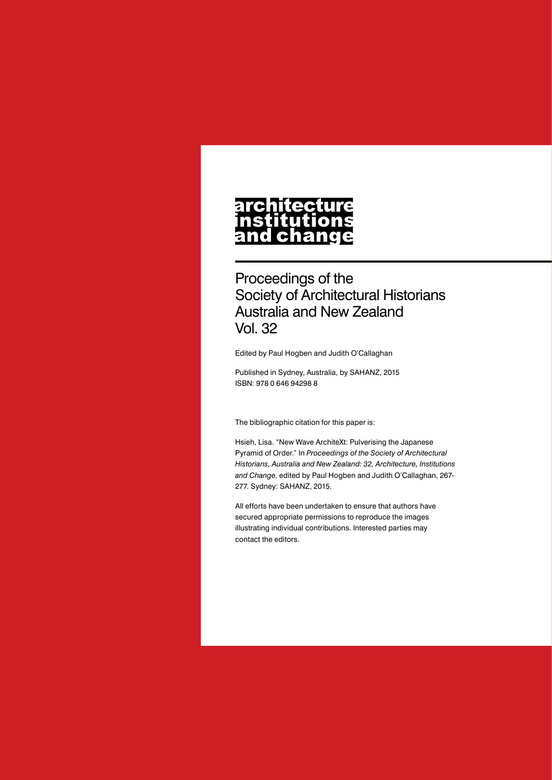# architecture nstitutions<br>and change

Proceedings of the Society of Architectural Historians Australia and New Zealand Vol. 32

Edited by Paul Hogben and Judith O'Callaghan

Published in Sydney, Australia, by SAHANZ, 2015 ISBN: 978 0 646 94298 8

The bibliographic citation for this paper is:

Hsieh, Lisa. "New Wave ArchiteXt: Pulverising the Japanese Pyramid of Order." In *Proceedings of the Society of Architectural Historians, Australia and New Zealand: 32, Architecture, Institutions and Change*, edited by Paul Hogben and Judith O'Callaghan, 267- 277. Sydney: SAHANZ, 2015.

All efforts have been undertaken to ensure that authors have secured appropriate permissions to reproduce the images illustrating individual contributions. Interested parties may contact the editors.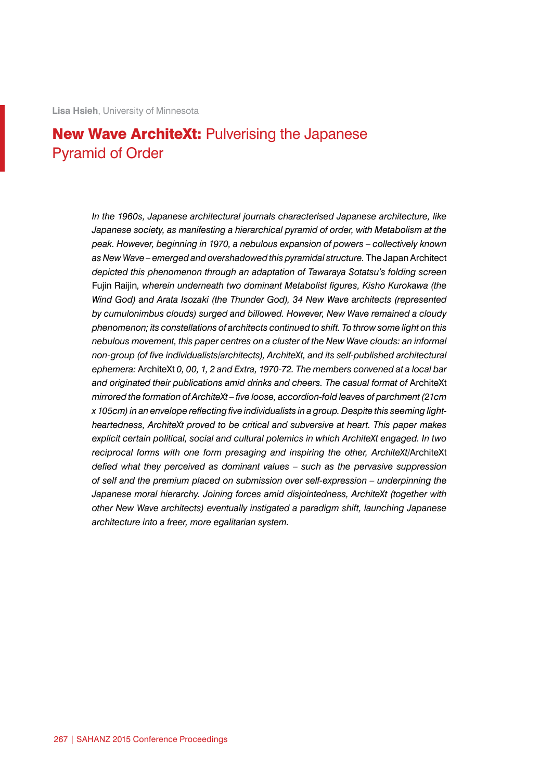# New Wave ArchiteXt: Pulverising the Japanese Pyramid of Order

*In the 1960s, Japanese architectural journals characterised Japanese architecture, like Japanese society, as manifesting a hierarchical pyramid of order, with Metabolism at the peak. However, beginning in 1970, a nebulous expansion of powers – collectively known as New Wave – emerged and overshadowed this pyramidal structure.* The Japan Architect *depicted this phenomenon through an adaptation of Tawaraya Sotatsu's folding screen*  Fujin Raijin*, wherein underneath two dominant Metabolist figures, Kisho Kurokawa (the Wind God) and Arata Isozaki (the Thunder God), 34 New Wave architects (represented by cumulonimbus clouds) surged and billowed. However, New Wave remained a cloudy phenomenon; its constellations of architects continued to shift. To throw some light on this nebulous movement, this paper centres on a cluster of the New Wave clouds: an informal non-group (of five individualists/architects), ArchiteXt, and its self-published architectural ephemera:* ArchiteXt *0, 00, 1, 2 and Extra, 1970-72. The members convened at a local bar and originated their publications amid drinks and cheers. The casual format of* ArchiteXt *mirrored the formation of ArchiteXt – five loose, accordion-fold leaves of parchment (21cm x 105cm) in an envelope reflecting five individualists in a group. Despite this seeming lightheartedness, ArchiteXt proved to be critical and subversive at heart. This paper makes explicit certain political, social and cultural polemics in which ArchiteXt engaged. In two reciprocal forms with one form presaging and inspiring the other, ArchiteXt/*ArchiteXt *defied what they perceived as dominant values – such as the pervasive suppression of self and the premium placed on submission over self-expression – underpinning the Japanese moral hierarchy. Joining forces amid disjointedness, ArchiteXt (together with other New Wave architects) eventually instigated a paradigm shift, launching Japanese architecture into a freer, more egalitarian system.*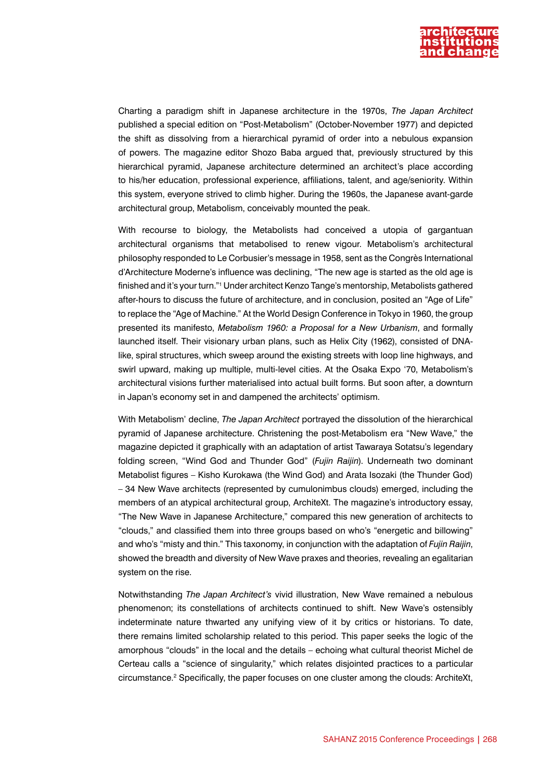

Charting a paradigm shift in Japanese architecture in the 1970s, *The Japan Architect* published a special edition on "Post-Metabolism" (October-November 1977) and depicted the shift as dissolving from a hierarchical pyramid of order into a nebulous expansion of powers. The magazine editor Shozo Baba argued that, previously structured by this hierarchical pyramid, Japanese architecture determined an architect's place according to his/her education, professional experience, affiliations, talent, and age/seniority. Within this system, everyone strived to climb higher. During the 1960s, the Japanese avant-garde architectural group, Metabolism, conceivably mounted the peak.

With recourse to biology, the Metabolists had conceived a utopia of gargantuan architectural organisms that metabolised to renew vigour. Metabolism's architectural philosophy responded to Le Corbusier's message in 1958, sent as the Congrès International d'Architecture Moderne's influence was declining, "The new age is started as the old age is finished and it's your turn."1 Under architect Kenzo Tange's mentorship, Metabolists gathered after-hours to discuss the future of architecture, and in conclusion, posited an "Age of Life" to replace the "Age of Machine." At the World Design Conference in Tokyo in 1960, the group presented its manifesto, *Metabolism 1960: a Proposal for a New Urbanism*, and formally launched itself. Their visionary urban plans, such as Helix City (1962), consisted of DNAlike, spiral structures, which sweep around the existing streets with loop line highways, and swirl upward, making up multiple, multi-level cities. At the Osaka Expo '70, Metabolism's architectural visions further materialised into actual built forms. But soon after, a downturn in Japan's economy set in and dampened the architects' optimism.

With Metabolism' decline, *The Japan Architect* portrayed the dissolution of the hierarchical pyramid of Japanese architecture. Christening the post-Metabolism era "New Wave," the magazine depicted it graphically with an adaptation of artist Tawaraya Sotatsu's legendary folding screen, "Wind God and Thunder God" (*Fujin Raijin*). Underneath two dominant Metabolist figures – Kisho Kurokawa (the Wind God) and Arata Isozaki (the Thunder God) – 34 New Wave architects (represented by cumulonimbus clouds) emerged, including the members of an atypical architectural group, ArchiteXt. The magazine's introductory essay, "The New Wave in Japanese Architecture," compared this new generation of architects to "clouds," and classified them into three groups based on who's "energetic and billowing" and who's "misty and thin." This taxonomy, in conjunction with the adaptation of *Fujin Raijin*, showed the breadth and diversity of New Wave praxes and theories, revealing an egalitarian system on the rise.

Notwithstanding *The Japan Architect's* vivid illustration, New Wave remained a nebulous phenomenon; its constellations of architects continued to shift. New Wave's ostensibly indeterminate nature thwarted any unifying view of it by critics or historians. To date, there remains limited scholarship related to this period. This paper seeks the logic of the amorphous "clouds" in the local and the details – echoing what cultural theorist Michel de Certeau calls a "science of singularity," which relates disjointed practices to a particular circumstance.<sup>2</sup> Specifically, the paper focuses on one cluster among the clouds: ArchiteXt,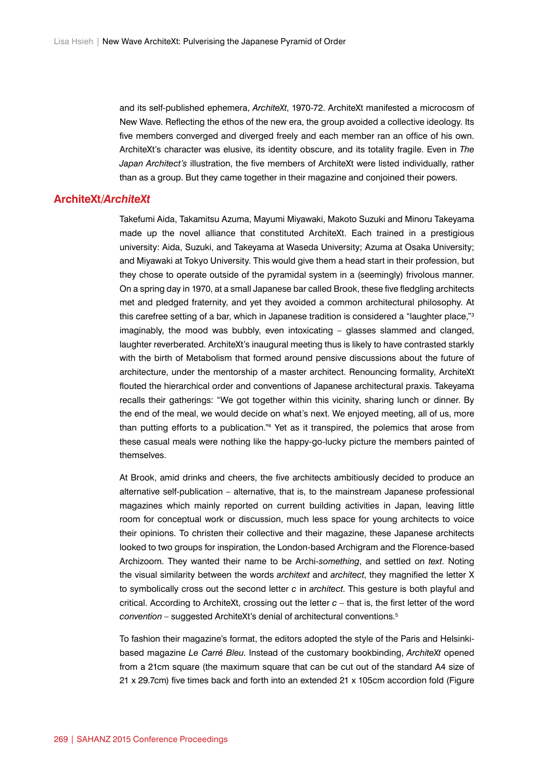and its self-published ephemera, *ArchiteXt*, 1970-72. ArchiteXt manifested a microcosm of New Wave. Reflecting the ethos of the new era, the group avoided a collective ideology. Its five members converged and diverged freely and each member ran an office of his own. ArchiteXt's character was elusive, its identity obscure, and its totality fragile. Even in *The Japan Architect's* illustration, the five members of ArchiteXt were listed individually, rather than as a group. But they came together in their magazine and conjoined their powers.

## **ArchiteXt/***ArchiteXt*

Takefumi Aida, Takamitsu Azuma, Mayumi Miyawaki, Makoto Suzuki and Minoru Takeyama made up the novel alliance that constituted ArchiteXt. Each trained in a prestigious university: Aida, Suzuki, and Takeyama at Waseda University; Azuma at Osaka University; and Miyawaki at Tokyo University. This would give them a head start in their profession, but they chose to operate outside of the pyramidal system in a (seemingly) frivolous manner. On a spring day in 1970, at a small Japanese bar called Brook, these five fledgling architects met and pledged fraternity, and yet they avoided a common architectural philosophy. At this carefree setting of a bar, which in Japanese tradition is considered a "laughter place,"<sup>3</sup> imaginably, the mood was bubbly, even intoxicating – glasses slammed and clanged, laughter reverberated. ArchiteXt's inaugural meeting thus is likely to have contrasted starkly with the birth of Metabolism that formed around pensive discussions about the future of architecture, under the mentorship of a master architect. Renouncing formality, ArchiteXt flouted the hierarchical order and conventions of Japanese architectural praxis. Takeyama recalls their gatherings: "We got together within this vicinity, sharing lunch or dinner. By the end of the meal, we would decide on what's next. We enjoyed meeting, all of us, more than putting efforts to a publication."4 Yet as it transpired, the polemics that arose from these casual meals were nothing like the happy-go-lucky picture the members painted of themselves.

At Brook, amid drinks and cheers, the five architects ambitiously decided to produce an alternative self-publication – alternative, that is, to the mainstream Japanese professional magazines which mainly reported on current building activities in Japan, leaving little room for conceptual work or discussion, much less space for young architects to voice their opinions. To christen their collective and their magazine, these Japanese architects looked to two groups for inspiration, the London-based Archigram and the Florence-based Archizoom. They wanted their name to be Archi-*something*, and settled on *text*. Noting the visual similarity between the words *architext* and *architect*, they magnified the letter X to symbolically cross out the second letter *c* in *architect*. This gesture is both playful and critical. According to ArchiteXt, crossing out the letter *c –* that is, the first letter of the word *convention –* suggested ArchiteXt's denial of architectural conventions.5

To fashion their magazine's format, the editors adopted the style of the Paris and Helsinkibased magazine *Le Carré Bleu*. Instead of the customary bookbinding, *ArchiteXt* opened from a 21cm square (the maximum square that can be cut out of the standard A4 size of 21 x 29.7cm) five times back and forth into an extended 21 x 105cm accordion fold (Figure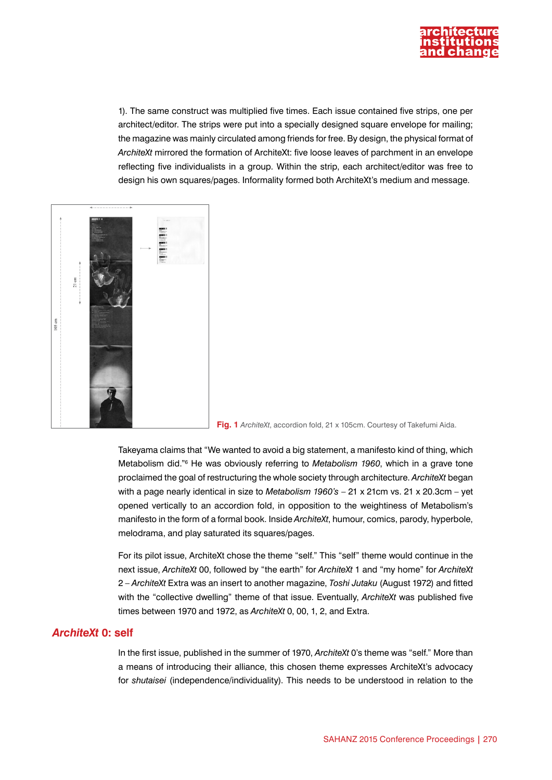

1). The same construct was multiplied five times. Each issue contained five strips, one per architect/editor. The strips were put into a specially designed square envelope for mailing; the magazine was mainly circulated among friends for free. By design, the physical format of *ArchiteXt* mirrored the formation of ArchiteXt: five loose leaves of parchment in an envelope reflecting five individualists in a group. Within the strip, each architect/editor was free to design his own squares/pages. Informality formed both ArchiteXt's medium and message.



**Fig. 1** *ArchiteXt*, accordion fold, 21 x 105cm. Courtesy of Takefumi Aida.

Takeyama claims that "We wanted to avoid a big statement, a manifesto kind of thing, which Metabolism did."<sup>6</sup> He was obviously referring to *Metabolism 1960*, which in a grave tone proclaimed the goal of restructuring the whole society through architecture. *ArchiteXt* began with a page nearly identical in size to *Metabolism 1960's* – 21 x 21cm vs. 21 x 20.3cm – yet opened vertically to an accordion fold, in opposition to the weightiness of Metabolism's manifesto in the form of a formal book. Inside *ArchiteXt*, humour, comics, parody, hyperbole, melodrama, and play saturated its squares/pages.

For its pilot issue, ArchiteXt chose the theme "self." This "self" theme would continue in the next issue, *ArchiteXt* 00, followed by "the earth" for *ArchiteXt* 1 and "my home" for *ArchiteXt* 2 – *ArchiteXt* Extra was an insert to another magazine, *Toshi Jutaku* (August 1972) and fitted with the "collective dwelling" theme of that issue. Eventually, *ArchiteXt* was published five times between 1970 and 1972, as *ArchiteXt* 0, 00, 1, 2, and Extra.

#### *ArchiteXt* **0: self**

In the first issue, published in the summer of 1970, *ArchiteXt* 0's theme was "self." More than a means of introducing their alliance, this chosen theme expresses ArchiteXt's advocacy for *shutaisei* (independence/individuality). This needs to be understood in relation to the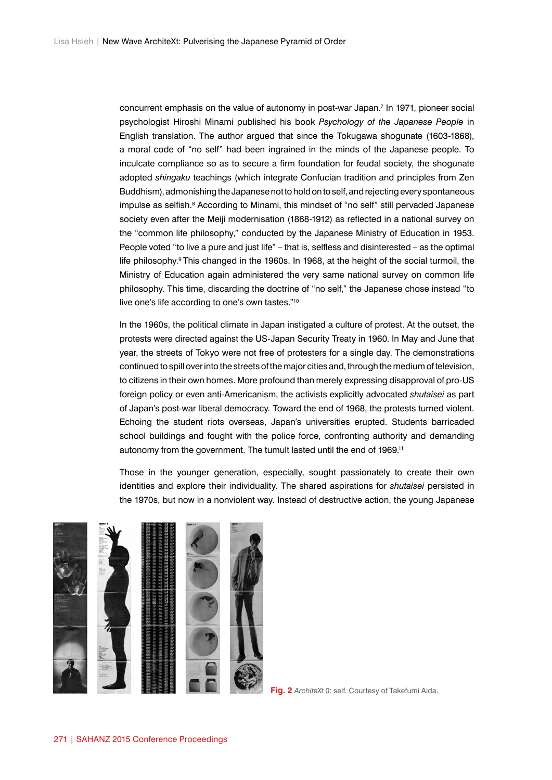concurrent emphasis on the value of autonomy in post-war Japan.7 In 1971, pioneer social psychologist Hiroshi Minami published his book *Psychology of the Japanese People* in English translation. The author argued that since the Tokugawa shogunate (1603-1868), a moral code of "no self" had been ingrained in the minds of the Japanese people. To inculcate compliance so as to secure a firm foundation for feudal society, the shogunate adopted *shingaku* teachings (which integrate Confucian tradition and principles from Zen Buddhism), admonishing the Japanese not to hold on to self, and rejecting every spontaneous impulse as selfish.<sup>8</sup> According to Minami, this mindset of "no self" still pervaded Japanese society even after the Meiji modernisation (1868-1912) as reflected in a national survey on the "common life philosophy," conducted by the Japanese Ministry of Education in 1953. People voted "to live a pure and just life" – that is, selfless and disinterested – as the optimal life philosophy.9 This changed in the 1960s. In 1968, at the height of the social turmoil, the Ministry of Education again administered the very same national survey on common life philosophy. This time, discarding the doctrine of "no self," the Japanese chose instead "to live one's life according to one's own tastes."10

In the 1960s, the political climate in Japan instigated a culture of protest. At the outset, the protests were directed against the US-Japan Security Treaty in 1960. In May and June that year, the streets of Tokyo were not free of protesters for a single day. The demonstrations continued to spill over into the streets of the major cities and, through the medium of television, to citizens in their own homes. More profound than merely expressing disapproval of pro-US foreign policy or even anti-Americanism, the activists explicitly advocated *shutaisei* as part of Japan's post-war liberal democracy*.* Toward the end of 1968, the protests turned violent. Echoing the student riots overseas, Japan's universities erupted. Students barricaded school buildings and fought with the police force, confronting authority and demanding autonomy from the government. The tumult lasted until the end of 1969.<sup>11</sup>

Those in the younger generation, especially, sought passionately to create their own identities and explore their individuality. The shared aspirations for *shutaisei* persisted in the 1970s, but now in a nonviolent way. Instead of destructive action, the young Japanese



**Fig. 2** *ArchiteXt* 0: self. Courtesy of Takefumi Aida.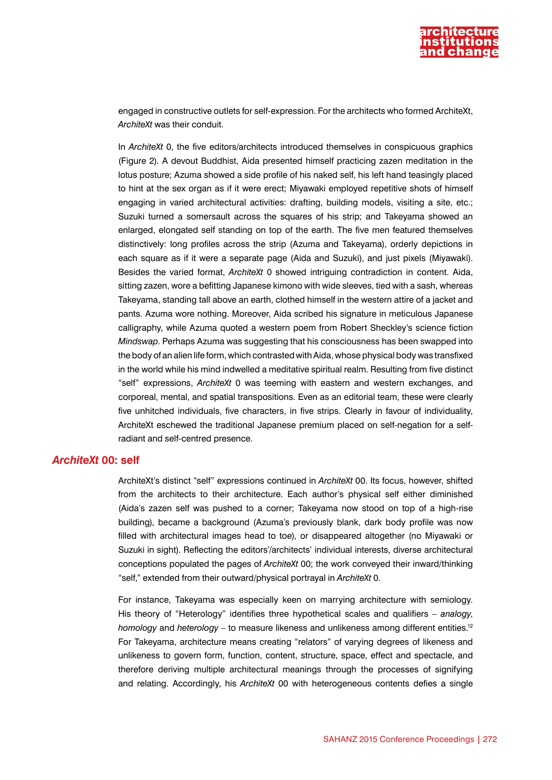

engaged in constructive outlets for self-expression. For the architects who formed ArchiteXt, *ArchiteXt* was their conduit.

In *ArchiteXt* 0, the five editors/architects introduced themselves in conspicuous graphics (Figure 2). A devout Buddhist, Aida presented himself practicing zazen meditation in the lotus posture; Azuma showed a side profile of his naked self, his left hand teasingly placed to hint at the sex organ as if it were erect; Miyawaki employed repetitive shots of himself engaging in varied architectural activities: drafting, building models, visiting a site, etc.; Suzuki turned a somersault across the squares of his strip; and Takeyama showed an enlarged, elongated self standing on top of the earth. The five men featured themselves distinctively: long profiles across the strip (Azuma and Takeyama), orderly depictions in each square as if it were a separate page (Aida and Suzuki), and just pixels (Miyawaki). Besides the varied format, *ArchiteXt* 0 showed intriguing contradiction in content. Aida, sitting zazen, wore a befitting Japanese kimono with wide sleeves, tied with a sash, whereas Takeyama, standing tall above an earth, clothed himself in the western attire of a jacket and pants. Azuma wore nothing. Moreover, Aida scribed his signature in meticulous Japanese calligraphy, while Azuma quoted a western poem from Robert Sheckley's science fiction *Mindswap*. Perhaps Azuma was suggesting that his consciousness has been swapped into the body of an alien life form, which contrasted with Aida, whose physical body was transfixed in the world while his mind indwelled a meditative spiritual realm. Resulting from five distinct "self" expressions, *ArchiteXt* 0 was teeming with eastern and western exchanges, and corporeal, mental, and spatial transpositions. Even as an editorial team, these were clearly five unhitched individuals, five characters, in five strips. Clearly in favour of individuality, ArchiteXt eschewed the traditional Japanese premium placed on self-negation for a selfradiant and self-centred presence.

#### *ArchiteXt* **00: self**

ArchiteXt's distinct "self" expressions continued in *ArchiteXt* 00. Its focus, however, shifted from the architects to their architecture. Each author's physical self either diminished (Aida's zazen self was pushed to a corner; Takeyama now stood on top of a high-rise building), became a background (Azuma's previously blank, dark body profile was now filled with architectural images head to toe), or disappeared altogether (no Miyawaki or Suzuki in sight). Reflecting the editors'/architects' individual interests, diverse architectural conceptions populated the pages of *ArchiteXt* 00; the work conveyed their inward/thinking "self," extended from their outward/physical portrayal in *ArchiteXt* 0.

For instance, Takeyama was especially keen on marrying architecture with semiology. His theory of "Heterology" identifies three hypothetical scales and qualifiers – *analogy*, *homology* and *heterology* – to measure likeness and unlikeness among different entities.12 For Takeyama, architecture means creating "relators" of varying degrees of likeness and unlikeness to govern form, function, content, structure, space, effect and spectacle, and therefore deriving multiple architectural meanings through the processes of signifying and relating. Accordingly, his *ArchiteXt* 00 with heterogeneous contents defies a single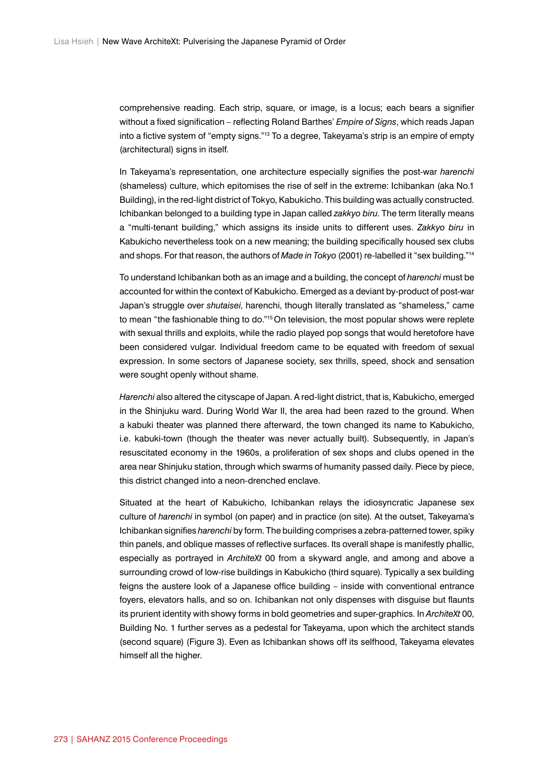comprehensive reading. Each strip, square, or image, is a locus; each bears a signifier without a fixed signification – reflecting Roland Barthes' *Empire of Signs*, which reads Japan into a fictive system of "empty signs."13 To a degree, Takeyama's strip is an empire of empty (architectural) signs in itself.

In Takeyama's representation, one architecture especially signifies the post-war *harenchi* (shameless) culture, which epitomises the rise of self in the extreme: Ichibankan (aka No.1 Building), in the red-light district of Tokyo, Kabukicho. This building was actually constructed. Ichibankan belonged to a building type in Japan called *zakkyo biru*. The term literally means a "multi-tenant building," which assigns its inside units to different uses. *Zakkyo biru* in Kabukicho nevertheless took on a new meaning; the building specifically housed sex clubs and shops. For that reason, the authors of *Made in Tokyo* (2001) re-labelled it "sex building."14

To understand Ichibankan both as an image and a building, the concept of *harenchi* must be accounted for within the context of Kabukicho. Emerged as a deviant by-product of post-war Japan's struggle over *shutaisei*, harenchi, though literally translated as "shameless," came to mean "the fashionable thing to do."<sup>15</sup> On television, the most popular shows were replete with sexual thrills and exploits, while the radio played pop songs that would heretofore have been considered vulgar. Individual freedom came to be equated with freedom of sexual expression. In some sectors of Japanese society, sex thrills, speed, shock and sensation were sought openly without shame.

*Harenchi* also altered the cityscape of Japan. A red-light district, that is, Kabukicho, emerged in the Shinjuku ward. During World War II, the area had been razed to the ground. When a kabuki theater was planned there afterward, the town changed its name to Kabukicho, i.e. kabuki-town (though the theater was never actually built). Subsequently, in Japan's resuscitated economy in the 1960s, a proliferation of sex shops and clubs opened in the area near Shinjuku station, through which swarms of humanity passed daily. Piece by piece, this district changed into a neon-drenched enclave.

Situated at the heart of Kabukicho, Ichibankan relays the idiosyncratic Japanese sex culture of *harenchi* in symbol (on paper) and in practice (on site)*.* At the outset, Takeyama's Ichibankan signifies *harenchi* by form. The building comprises a zebra-patterned tower, spiky thin panels, and oblique masses of reflective surfaces. Its overall shape is manifestly phallic, especially as portrayed in *ArchiteXt* 00 from a skyward angle, and among and above a surrounding crowd of low-rise buildings in Kabukicho (third square). Typically a sex building feigns the austere look of a Japanese office building – inside with conventional entrance foyers, elevators halls, and so on. Ichibankan not only dispenses with disguise but flaunts its prurient identity with showy forms in bold geometries and super-graphics. In *ArchiteXt* 00, Building No. 1 further serves as a pedestal for Takeyama, upon which the architect stands (second square) (Figure 3). Even as Ichibankan shows off its selfhood, Takeyama elevates himself all the higher.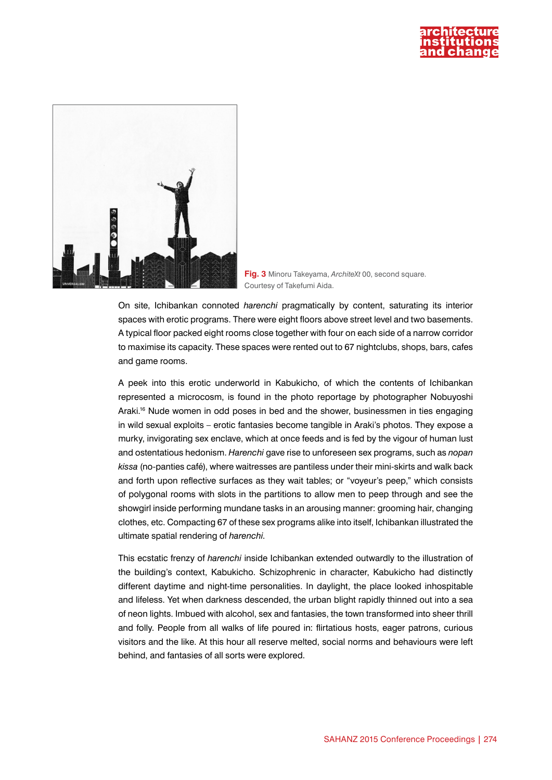



**Fig. 3** Minoru Takeyama, *ArchiteXt* 00, second square. Courtesy of Takefumi Aida.

On site, Ichibankan connoted *harenchi* pragmatically by content, saturating its interior spaces with erotic programs. There were eight floors above street level and two basements. A typical floor packed eight rooms close together with four on each side of a narrow corridor to maximise its capacity. These spaces were rented out to 67 nightclubs, shops, bars, cafes and game rooms.

A peek into this erotic underworld in Kabukicho, of which the contents of Ichibankan represented a microcosm, is found in the photo reportage by photographer Nobuyoshi Araki.<sup>16</sup> Nude women in odd poses in bed and the shower, businessmen in ties engaging in wild sexual exploits – erotic fantasies become tangible in Araki's photos. They expose a murky, invigorating sex enclave, which at once feeds and is fed by the vigour of human lust and ostentatious hedonism. *Harenchi* gave rise to unforeseen sex programs, such as *nopan kissa* (no-panties café), where waitresses are pantiless under their mini-skirts and walk back and forth upon reflective surfaces as they wait tables; or "voyeur's peep," which consists of polygonal rooms with slots in the partitions to allow men to peep through and see the showgirl inside performing mundane tasks in an arousing manner: grooming hair, changing clothes, etc. Compacting 67 of these sex programs alike into itself, Ichibankan illustrated the ultimate spatial rendering of *harenchi*.

This ecstatic frenzy of *harenchi* inside Ichibankan extended outwardly to the illustration of the building's context, Kabukicho. Schizophrenic in character, Kabukicho had distinctly different daytime and night-time personalities. In daylight, the place looked inhospitable and lifeless. Yet when darkness descended, the urban blight rapidly thinned out into a sea of neon lights. Imbued with alcohol, sex and fantasies, the town transformed into sheer thrill and folly. People from all walks of life poured in: flirtatious hosts, eager patrons, curious visitors and the like. At this hour all reserve melted, social norms and behaviours were left behind, and fantasies of all sorts were explored.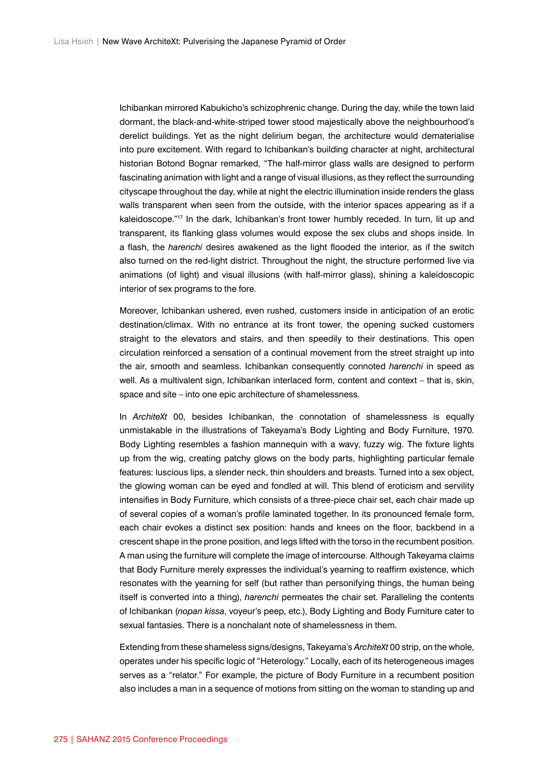Ichibankan mirrored Kabukicho's schizophrenic change. During the day, while the town laid dormant, the black-and-white-striped tower stood majestically above the neighbourhood's derelict buildings. Yet as the night delirium began, the architecture would dematerialise into pure excitement. With regard to Ichibankan's building character at night, architectural historian Botond Bognar remarked, "The half-mirror glass walls are designed to perform fascinating animation with light and a range of visual illusions, as they reflect the surrounding cityscape throughout the day, while at night the electric illumination inside renders the glass walls transparent when seen from the outside, with the interior spaces appearing as if a kaleidoscope."<sup>17</sup> In the dark, Ichibankan's front tower humbly receded. In turn, lit up and transparent, its flanking glass volumes would expose the sex clubs and shops inside. In a flash, the *harenchi* desires awakened as the light flooded the interior, as if the switch also turned on the red-light district. Throughout the night, the structure performed live via animations (of light) and visual illusions (with half-mirror glass), shining a kaleidoscopic interior of sex programs to the fore.

Moreover, Ichibankan ushered, even rushed, customers inside in anticipation of an erotic destination/climax. With no entrance at its front tower, the opening sucked customers straight to the elevators and stairs, and then speedily to their destinations. This open circulation reinforced a sensation of a continual movement from the street straight up into the air, smooth and seamless. Ichibankan consequently connoted *harenchi* in speed as well. As a multivalent sign, Ichibankan interlaced form, content and context – that is, skin, space and site – into one epic architecture of shamelessness.

In *ArchiteXt* 00, besides Ichibankan, the connotation of shamelessness is equally unmistakable in the illustrations of Takeyama's Body Lighting and Body Furniture, 1970. Body Lighting resembles a fashion mannequin with a wavy, fuzzy wig. The fixture lights up from the wig, creating patchy glows on the body parts, highlighting particular female features: luscious lips, a slender neck, thin shoulders and breasts. Turned into a sex object, the glowing woman can be eyed and fondled at will. This blend of eroticism and servility intensifies in Body Furniture, which consists of a three-piece chair set, each chair made up of several copies of a woman's profile laminated together. In its pronounced female form, each chair evokes a distinct sex position: hands and knees on the floor, backbend in a crescent shape in the prone position, and legs lifted with the torso in the recumbent position. A man using the furniture will complete the image of intercourse. Although Takeyama claims that Body Furniture merely expresses the individual's yearning to reaffirm existence, which resonates with the yearning for self (but rather than personifying things, the human being itself is converted into a thing), *harenchi* permeates the chair set. Paralleling the contents of Ichibankan (*nopan kissa*, voyeur's peep, etc.), Body Lighting and Body Furniture cater to sexual fantasies. There is a nonchalant note of shamelessness in them.

Extending from these shameless signs/designs, Takeyama's *ArchiteXt* 00 strip, on the whole, operates under his specific logic of "Heterology." Locally, each of its heterogeneous images serves as a "relator." For example, the picture of Body Furniture in a recumbent position also includes a man in a sequence of motions from sitting on the woman to standing up and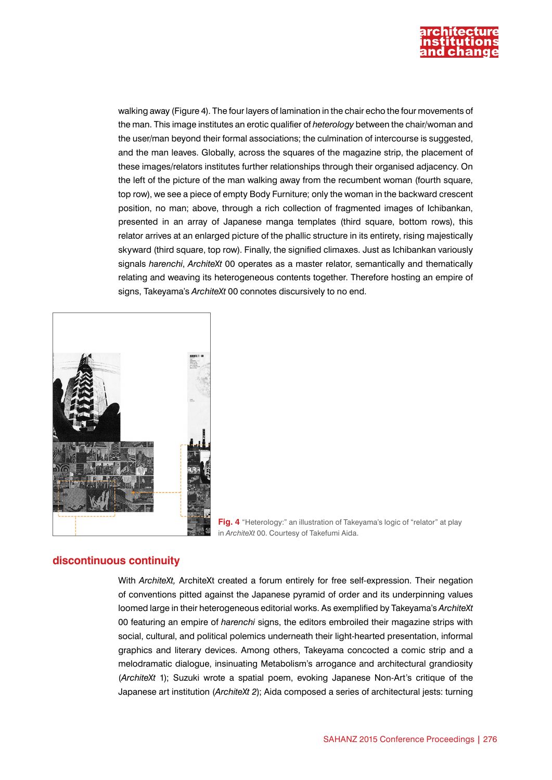

walking away (Figure 4). The four layers of lamination in the chair echo the four movements of the man. This image institutes an erotic qualifier of *heterology* between the chair/woman and the user/man beyond their formal associations; the culmination of intercourse is suggested, and the man leaves. Globally, across the squares of the magazine strip, the placement of these images/relators institutes further relationships through their organised adjacency. On the left of the picture of the man walking away from the recumbent woman (fourth square, top row), we see a piece of empty Body Furniture; only the woman in the backward crescent position, no man; above, through a rich collection of fragmented images of Ichibankan, presented in an array of Japanese manga templates (third square, bottom rows), this relator arrives at an enlarged picture of the phallic structure in its entirety, rising majestically skyward (third square, top row). Finally, the signified climaxes. Just as Ichibankan variously signals *harenchi*, *ArchiteXt* 00 operates as a master relator, semantically and thematically relating and weaving its heterogeneous contents together. Therefore hosting an empire of signs, Takeyama's *ArchiteXt* 00 connotes discursively to no end.



**Fig. 4** "Heterology:" an illustration of Takeyama's logic of "relator" at play in *ArchiteXt* 00. Courtesy of Takefumi Aida.

### **discontinuous continuity**

With *ArchiteXt,* ArchiteXt created a forum entirely for free self-expression. Their negation of conventions pitted against the Japanese pyramid of order and its underpinning values loomed large in their heterogeneous editorial works. As exemplified by Takeyama's *ArchiteXt*  00 featuring an empire of *harenchi* signs, the editors embroiled their magazine strips with social, cultural, and political polemics underneath their light-hearted presentation, informal graphics and literary devices. Among others, Takeyama concocted a comic strip and a melodramatic dialogue, insinuating Metabolism's arrogance and architectural grandiosity (*ArchiteXt* 1); Suzuki wrote a spatial poem, evoking Japanese Non-Art's critique of the Japanese art institution (*ArchiteXt 2*); Aida composed a series of architectural jests: turning